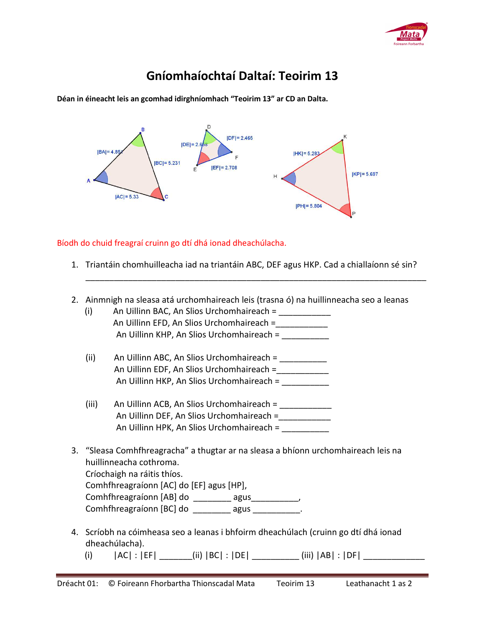

## **Gníomhaíochtaí Daltaí: Teoirim 13**

**Déan in éineacht leis an gcomhad idirghníomhach "Teoirim 13" ar CD an Dalta.** 



Bíodh do chuid freagraí cruinn go dtí dhá ionad dheachúlacha.

1. Triantáin chomhuilleacha iad na triantáin ABC, DEF agus HKP. Cad a chiallaíonn sé sin?

\_\_\_\_\_\_\_\_\_\_\_\_\_\_\_\_\_\_\_\_\_\_\_\_\_\_\_\_\_\_\_\_\_\_\_\_\_\_\_\_\_\_\_\_\_\_\_\_\_\_\_\_\_\_\_\_\_\_\_\_\_\_\_\_\_\_\_\_\_\_\_\_

2. Ainmnigh na sleasa atá urchomhaireach leis (trasna ó) na huillinneacha seo a leanas

| (i)                                                                                                           | An Uillinn BAC, An Slios Urchomhaireach = ___________                                                 |  |  |  |
|---------------------------------------------------------------------------------------------------------------|-------------------------------------------------------------------------------------------------------|--|--|--|
|                                                                                                               | An Uillinn EFD, An Slios Urchomhaireach =                                                             |  |  |  |
|                                                                                                               | An Uillinn KHP, An Slios Urchomhaireach =                                                             |  |  |  |
| (ii)                                                                                                          | An Uillinn ABC, An Slios Urchomhaireach = __________                                                  |  |  |  |
|                                                                                                               | An Uillinn EDF, An Slios Urchomhaireach = ___________                                                 |  |  |  |
|                                                                                                               | An Uillinn HKP, An Slios Urchomhaireach =                                                             |  |  |  |
| (iii)                                                                                                         | An Uillinn ACB, An Slios Urchomhaireach = ___________                                                 |  |  |  |
|                                                                                                               | An Uillinn DEF, An Slios Urchomhaireach =                                                             |  |  |  |
|                                                                                                               | An Uillinn HPK, An Slios Urchomhaireach =                                                             |  |  |  |
| 3. "Sleasa Comhfhreagracha" a thugtar ar na sleasa a bhíonn urchomhaireach leis na<br>huillinneacha cothroma. |                                                                                                       |  |  |  |
| Críochaigh na ráitis thíos.                                                                                   |                                                                                                       |  |  |  |
| Comhfhreagraíonn [AC] do [EF] agus [HP],                                                                      |                                                                                                       |  |  |  |
|                                                                                                               |                                                                                                       |  |  |  |
|                                                                                                               | Comhfhreagraíonn [BC] do ___________ agus ____________.                                               |  |  |  |
|                                                                                                               | 4. Scríobh na cóimheasa seo a leanas i bhfoirm dheachúlach (cruinn go dtí dhá ionad<br>dheachúlacha). |  |  |  |

(i) |AC| : |EF| \_\_\_\_\_\_\_(ii) |BC| : |DE| \_\_\_\_\_\_\_\_\_\_ (iii) |AB| : |DF| \_\_\_\_\_\_\_\_\_\_\_\_\_